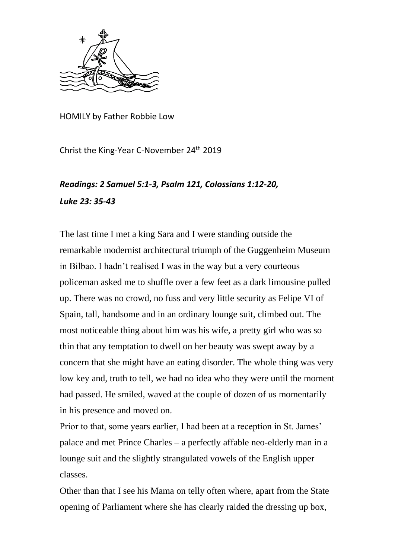

HOMILY by Father Robbie Low

Christ the King-Year C-November 24th 2019

## *Readings: 2 Samuel 5:1-3, Psalm 121, Colossians 1:12-20, Luke 23: 35-43*

The last time I met a king Sara and I were standing outside the remarkable modernist architectural triumph of the Guggenheim Museum in Bilbao. I hadn't realised I was in the way but a very courteous policeman asked me to shuffle over a few feet as a dark limousine pulled up. There was no crowd, no fuss and very little security as Felipe VI of Spain, tall, handsome and in an ordinary lounge suit, climbed out. The most noticeable thing about him was his wife, a pretty girl who was so thin that any temptation to dwell on her beauty was swept away by a concern that she might have an eating disorder. The whole thing was very low key and, truth to tell, we had no idea who they were until the moment had passed. He smiled, waved at the couple of dozen of us momentarily in his presence and moved on.

Prior to that, some years earlier, I had been at a reception in St. James' palace and met Prince Charles – a perfectly affable neo-elderly man in a lounge suit and the slightly strangulated vowels of the English upper classes.

Other than that I see his Mama on telly often where, apart from the State opening of Parliament where she has clearly raided the dressing up box,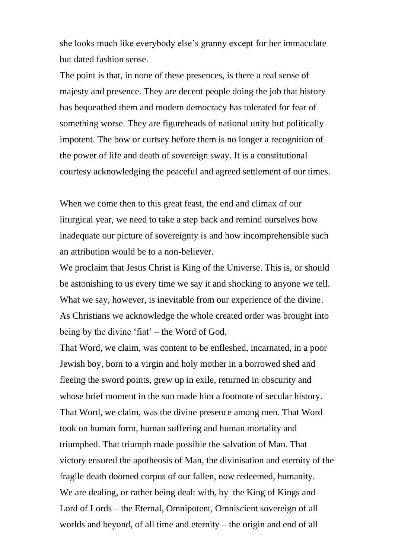she looks much like everybody else's granny except for her immaculate but dated fashion sense.

The point is that, in none of these presences, is there a real sense of majesty and presence. They are decent people doing the job that history has bequeathed them and modern democracy has tolerated for fear of something worse. They are figureheads of national unity but politically impotent. The bow or curtsey before them is no longer a recognition of the power of life and death of sovereign sway. It is a constitutional courtesy acknowledging the peaceful and agreed settlement of our times.

When we come then to this great feast, the end and climax of our liturgical year, we need to take a step back and remind ourselves how inadequate our picture of sovereignty is and how incomprehensible such an attribution would be to a non-believer.

We proclaim that Jesus Christ is King of the Universe. This is, or should be astonishing to us every time we say it and shocking to anyone we tell. What we say, however, is inevitable from our experience of the divine. As Christians we acknowledge the whole created order was brought into being by the divine 'fiat' – the Word of God.

That Word, we claim, was content to be enfleshed, incarnated, in a poor Jewish boy, born to a virgin and holy mother in a borrowed shed and fleeing the sword points, grew up in exile, returned in obscurity and whose brief moment in the sun made him a footnote of secular history. That Word, we claim, was the divine presence among men. That Word took on human form, human suffering and human mortality and triumphed. That triumph made possible the salvation of Man. That victory ensured the apotheosis of Man, the divinisation and eternity of the fragile death doomed corpus of our fallen, now redeemed, humanity. We are dealing, or rather being dealt with, by the King of Kings and Lord of Lords – the Eternal, Omnipotent, Omniscient sovereign of all worlds and beyond, of all time and eternity – the origin and end of all